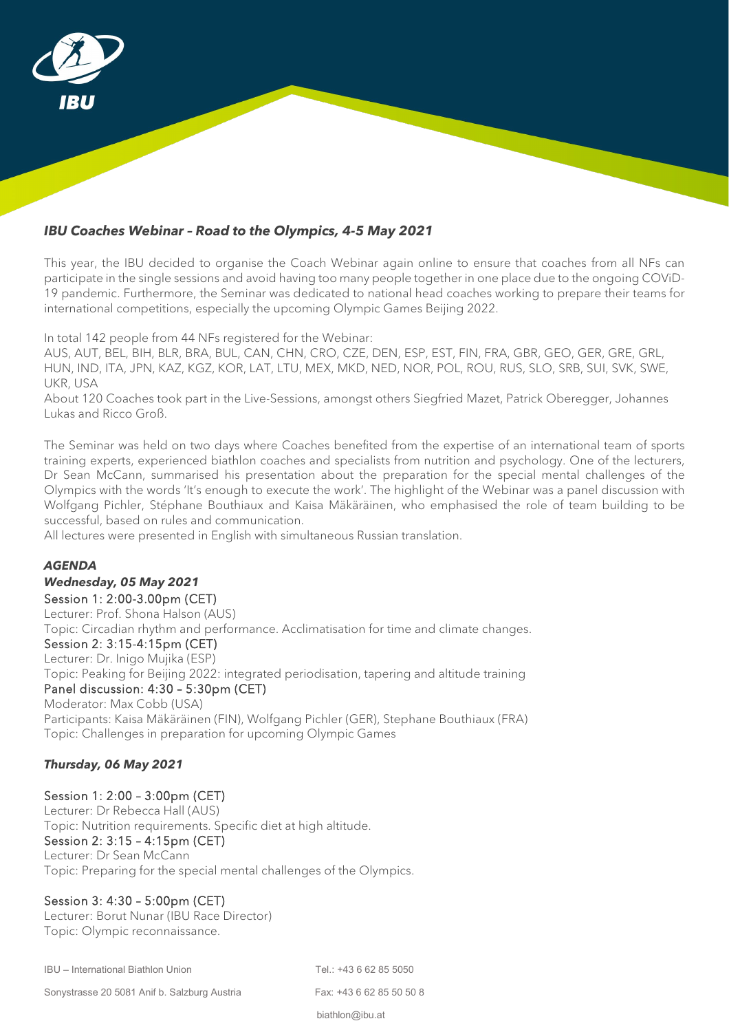

## *IBU Coaches Webinar – Road to the Olympics, 4-5 May 2021*

This year, the IBU decided to organise the Coach Webinar again online to ensure that coaches from all NFs can participate in the single sessions and avoid having too many people together in one place due to the ongoing COViD-19 pandemic. Furthermore, the Seminar was dedicated to national head coaches working to prepare their teams for international competitions, especially the upcoming Olympic Games Beijing 2022.

In total 142 people from 44 NFs registered for the Webinar:

AUS, AUT, BEL, BIH, BLR, BRA, BUL, CAN, CHN, CRO, CZE, DEN, ESP, EST, FIN, FRA, GBR, GEO, GER, GRE, GRL, HUN, IND, ITA, JPN, KAZ, KGZ, KOR, LAT, LTU, MEX, MKD, NED, NOR, POL, ROU, RUS, SLO, SRB, SUI, SVK, SWE, UKR, USA

About 120 Coaches took part in the Live-Sessions, amongst others Siegfried Mazet, Patrick Oberegger, Johannes Lukas and Ricco Groß.

The Seminar was held on two days where Coaches benefited from the expertise of an international team of sports training experts, experienced biathlon coaches and specialists from nutrition and psychology. One of the lecturers, Dr Sean McCann, summarised his presentation about the preparation for the special mental challenges of the Olympics with the words 'It's enough to execute the work'. The highlight of the Webinar was a panel discussion with Wolfgang Pichler, Stéphane Bouthiaux and Kaisa Mäkäräinen, who emphasised the role of team building to be successful, based on rules and communication.

All lectures were presented in English with simultaneous Russian translation.

#### *AGENDA*

*Wednesday, 05 May 2021*

Session 1: 2:00-3.00pm (CET)

Lecturer: Prof. Shona Halson (AUS)

Topic: Circadian rhythm and performance. Acclimatisation for time and climate changes.

# Session 2: 3:15-4:15pm (CET)

Lecturer: Dr. Inigo Mujika (ESP) Topic: Peaking for Beijing 2022: integrated periodisation, tapering and altitude training Panel discussion: 4:30 – 5:30pm (CET)

Moderator: Max Cobb (USA)

Participants: Kaisa Mäkäräinen (FIN), Wolfgang Pichler (GER), Stephane Bouthiaux (FRA) Topic: Challenges in preparation for upcoming Olympic Games

## *Thursday, 06 May 2021*

Session 1: 2:00 – 3:00pm (CET) Lecturer: Dr Rebecca Hall (AUS)

Topic: Nutrition requirements. Specific diet at high altitude.

## Session 2: 3:15 – 4:15pm (CET)

Lecturer: Dr Sean McCann Topic: Preparing for the special mental challenges of the Olympics.

# Session 3: 4:30 – 5:00pm (CET)

Lecturer: Borut Nunar (IBU Race Director) Topic: Olympic reconnaissance.

IBU – International Biathlon Union Tel.: +43 6 62 85 5050

Sonystrasse 20 5081 Anif b. Salzburg Austria Fax: +43 6 62 85 50 50 8

biathlon@ibu.at